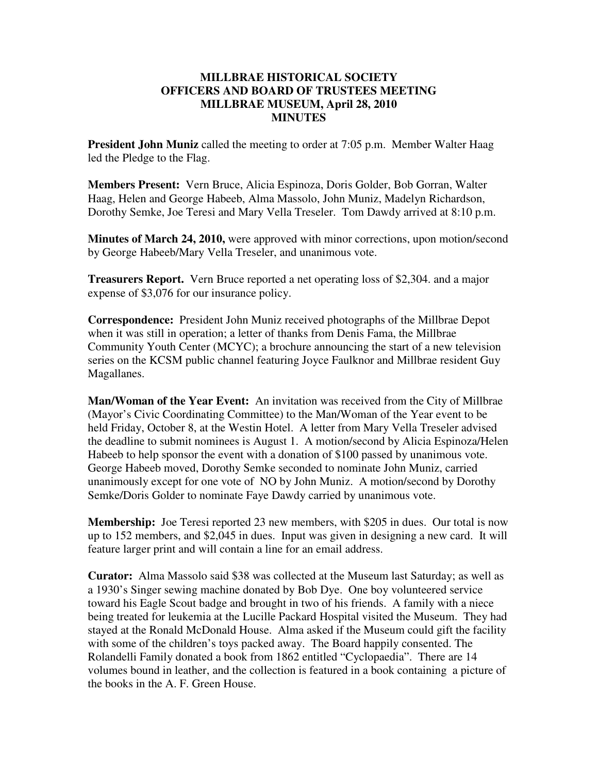## **MILLBRAE HISTORICAL SOCIETY OFFICERS AND BOARD OF TRUSTEES MEETING MILLBRAE MUSEUM, April 28, 2010 MINUTES**

**President John Muniz** called the meeting to order at 7:05 p.m. Member Walter Haag led the Pledge to the Flag.

**Members Present:** Vern Bruce, Alicia Espinoza, Doris Golder, Bob Gorran, Walter Haag, Helen and George Habeeb, Alma Massolo, John Muniz, Madelyn Richardson, Dorothy Semke, Joe Teresi and Mary Vella Treseler. Tom Dawdy arrived at 8:10 p.m.

**Minutes of March 24, 2010,** were approved with minor corrections, upon motion/second by George Habeeb/Mary Vella Treseler, and unanimous vote.

**Treasurers Report.** Vern Bruce reported a net operating loss of \$2,304. and a major expense of \$3,076 for our insurance policy.

**Correspondence:** President John Muniz received photographs of the Millbrae Depot when it was still in operation; a letter of thanks from Denis Fama, the Millbrae Community Youth Center (MCYC); a brochure announcing the start of a new television series on the KCSM public channel featuring Joyce Faulknor and Millbrae resident Guy Magallanes.

**Man/Woman of the Year Event:** An invitation was received from the City of Millbrae (Mayor's Civic Coordinating Committee) to the Man/Woman of the Year event to be held Friday, October 8, at the Westin Hotel. A letter from Mary Vella Treseler advised the deadline to submit nominees is August 1. A motion/second by Alicia Espinoza/Helen Habeeb to help sponsor the event with a donation of \$100 passed by unanimous vote. George Habeeb moved, Dorothy Semke seconded to nominate John Muniz, carried unanimously except for one vote of NO by John Muniz. A motion/second by Dorothy Semke/Doris Golder to nominate Faye Dawdy carried by unanimous vote.

**Membership:** Joe Teresi reported 23 new members, with \$205 in dues. Our total is now up to 152 members, and \$2,045 in dues. Input was given in designing a new card. It will feature larger print and will contain a line for an email address.

**Curator:** Alma Massolo said \$38 was collected at the Museum last Saturday; as well as a 1930's Singer sewing machine donated by Bob Dye. One boy volunteered service toward his Eagle Scout badge and brought in two of his friends. A family with a niece being treated for leukemia at the Lucille Packard Hospital visited the Museum. They had stayed at the Ronald McDonald House. Alma asked if the Museum could gift the facility with some of the children's toys packed away. The Board happily consented. The Rolandelli Family donated a book from 1862 entitled "Cyclopaedia". There are 14 volumes bound in leather, and the collection is featured in a book containing a picture of the books in the A. F. Green House.